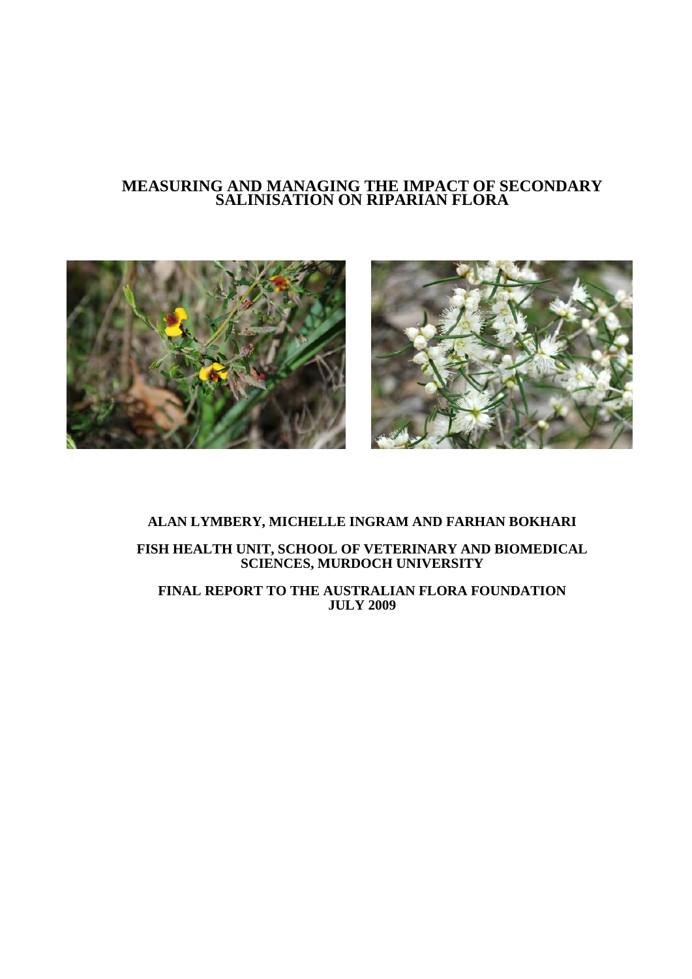## **MEASURING AND MANAGING THE IMPACT OF SECONDARY SALINISATION ON RIPARIAN FLORA**



### **ALAN LYMBERY, MICHELLE INGRAM AND FARHAN BOKHARI**

**FISH HEALTH UNIT, SCHOOL OF VETERINARY AND BIOMEDICAL SCIENCES, MURDOCH UNIVERSITY**

**FINAL REPORT TO THE AUSTRALIAN FLORA FOUNDATION JULY 2009**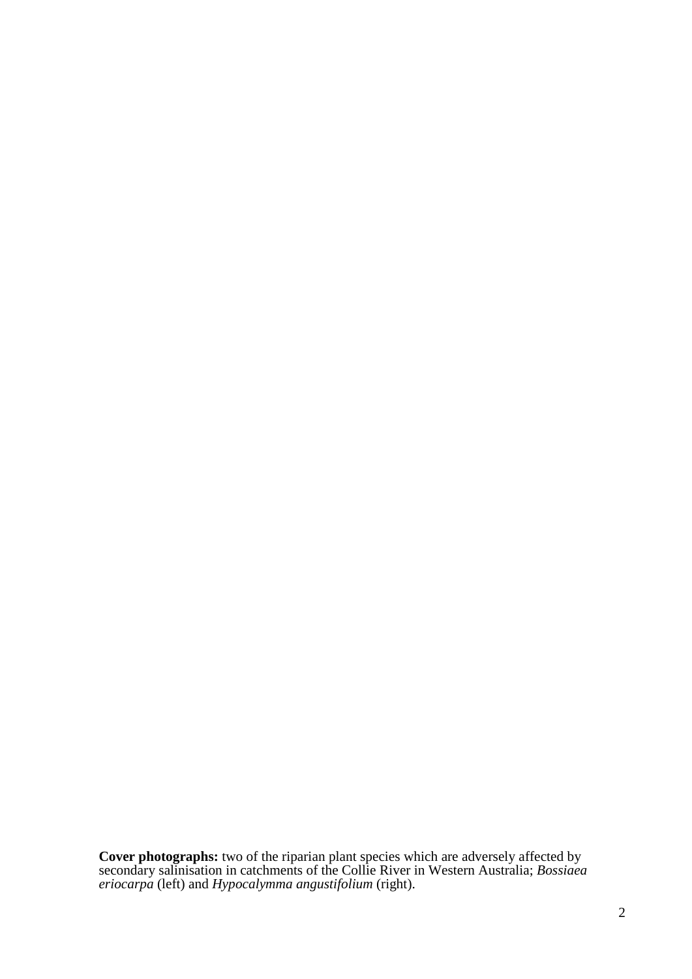**Cover photographs:** two of the riparian plant species which are adversely affected by secondary salinisation in catchments of the Collie River in Western Australia; *Bossiaea eriocarpa* (left) and *Hypocalymma angustifolium* (right).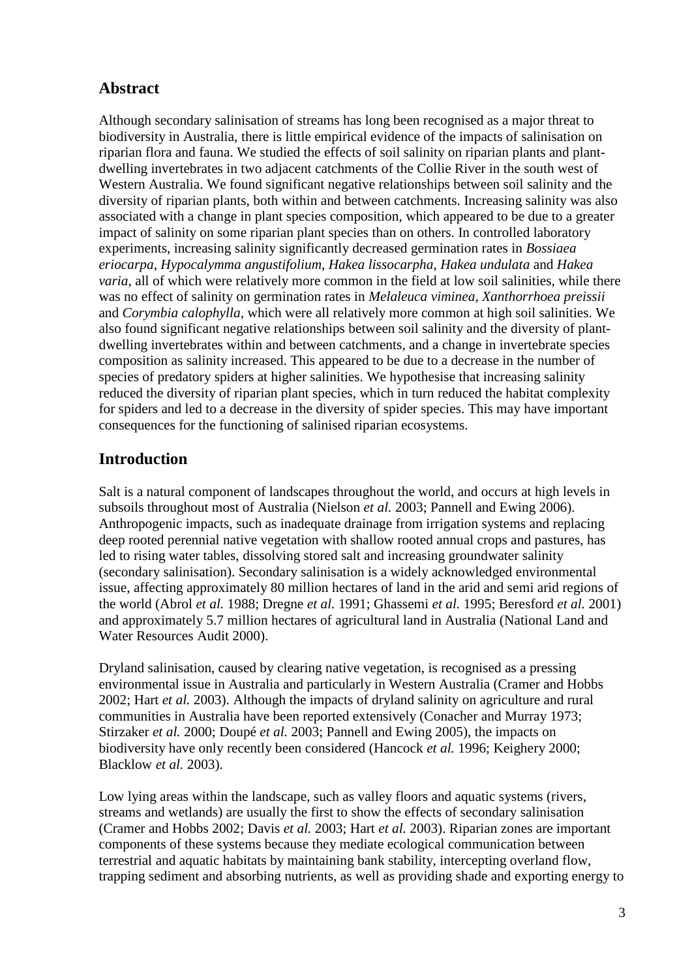## **Abstract**

Although secondary salinisation of streams has long been recognised as a major threat to biodiversity in Australia, there is little empirical evidence of the impacts of salinisation on riparian flora and fauna. We studied the effects of soil salinity on riparian plants and plantdwelling invertebrates in two adjacent catchments of the Collie River in the south west of Western Australia. We found significant negative relationships between soil salinity and the diversity of riparian plants, both within and between catchments. Increasing salinity was also associated with a change in plant species composition, which appeared to be due to a greater impact of salinity on some riparian plant species than on others. In controlled laboratory experiments, increasing salinity significantly decreased germination rates in *Bossiaea eriocarpa*, *Hypocalymma angustifolium*, *Hakea lissocarpha*, *Hakea undulata* and *Hakea varia*, all of which were relatively more common in the field at low soil salinities, while there was no effect of salinity on germination rates in *Melaleuca viminea*, *Xanthorrhoea preissii* and *Corymbia calophylla*, which were all relatively more common at high soil salinities. We also found significant negative relationships between soil salinity and the diversity of plantdwelling invertebrates within and between catchments, and a change in invertebrate species composition as salinity increased. This appeared to be due to a decrease in the number of species of predatory spiders at higher salinities. We hypothesise that increasing salinity reduced the diversity of riparian plant species, which in turn reduced the habitat complexity for spiders and led to a decrease in the diversity of spider species. This may have important consequences for the functioning of salinised riparian ecosystems.

# **Introduction**

Salt is a natural component of landscapes throughout the world, and occurs at high levels in subsoils throughout most of Australia (Nielson *et al.* 2003; Pannell and Ewing 2006). Anthropogenic impacts, such as inadequate drainage from irrigation systems and replacing deep rooted perennial native vegetation with shallow rooted annual crops and pastures, has led to rising water tables, dissolving stored salt and increasing groundwater salinity (secondary salinisation). Secondary salinisation is a widely acknowledged environmental issue, affecting approximately 80 million hectares of land in the arid and semi arid regions of the world (Abrol *et al.* 1988; Dregne *et al.* 1991; Ghassemi *et al.* 1995; Beresford *et al.* 2001) and approximately 5.7 million hectares of agricultural land in Australia (National Land and Water Resources Audit 2000).

Dryland salinisation, caused by clearing native vegetation, is recognised as a pressing environmental issue in Australia and particularly in Western Australia (Cramer and Hobbs 2002; Hart *et al.* 2003). Although the impacts of dryland salinity on agriculture and rural communities in Australia have been reported extensively (Conacher and Murray 1973; Stirzaker *et al.* 2000; Doupé *et al.* 2003; Pannell and Ewing 2005), the impacts on biodiversity have only recently been considered (Hancock *et al.* 1996; Keighery 2000; Blacklow *et al.* 2003).

Low lying areas within the landscape, such as valley floors and aquatic systems (rivers, streams and wetlands) are usually the first to show the effects of secondary salinisation (Cramer and Hobbs 2002; Davis *et al.* 2003; Hart *et al.* 2003). Riparian zones are important components of these systems because they mediate ecological communication between terrestrial and aquatic habitats by maintaining bank stability, intercepting overland flow, trapping sediment and absorbing nutrients, as well as providing shade and exporting energy to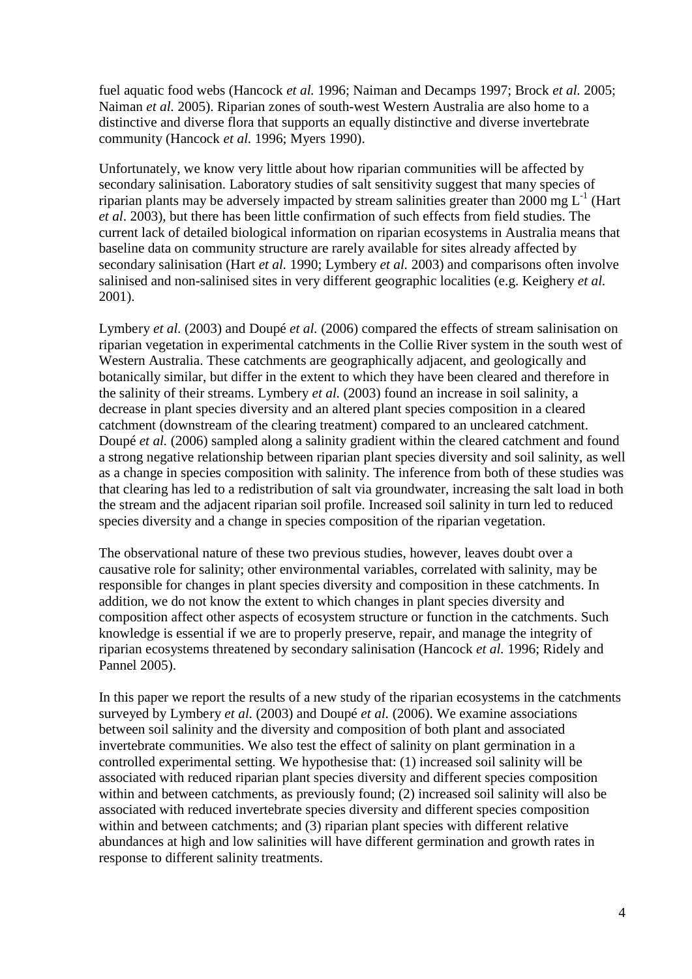fuel aquatic food webs (Hancock *et al.* 1996; Naiman and Decamps 1997; Brock *et al.* 2005; Naiman *et al.* 2005). Riparian zones of south-west Western Australia are also home to a distinctive and diverse flora that supports an equally distinctive and diverse invertebrate community (Hancock *et al.* 1996; Myers 1990).

Unfortunately, we know very little about how riparian communities will be affected by secondary salinisation. Laboratory studies of salt sensitivity suggest that many species of riparian plants may be adversely impacted by stream salinities greater than 2000 mg  $L^{-1}$  (Hart *et al*. 2003), but there has been little confirmation of such effects from field studies. The current lack of detailed biological information on riparian ecosystems in Australia means that baseline data on community structure are rarely available for sites already affected by secondary salinisation (Hart *et al.* 1990; Lymbery *et al.* 2003) and comparisons often involve salinised and non-salinised sites in very different geographic localities (e.g. Keighery *et al.* 2001).

Lymbery *et al.* (2003) and Doupé *et al.* (2006) compared the effects of stream salinisation on riparian vegetation in experimental catchments in the Collie River system in the south west of Western Australia. These catchments are geographically adjacent, and geologically and botanically similar, but differ in the extent to which they have been cleared and therefore in the salinity of their streams. Lymbery *et al.* (2003) found an increase in soil salinity, a decrease in plant species diversity and an altered plant species composition in a cleared catchment (downstream of the clearing treatment) compared to an uncleared catchment. Doupé *et al.* (2006) sampled along a salinity gradient within the cleared catchment and found a strong negative relationship between riparian plant species diversity and soil salinity, as well as a change in species composition with salinity. The inference from both of these studies was that clearing has led to a redistribution of salt via groundwater, increasing the salt load in both the stream and the adjacent riparian soil profile. Increased soil salinity in turn led to reduced species diversity and a change in species composition of the riparian vegetation.

The observational nature of these two previous studies, however, leaves doubt over a causative role for salinity; other environmental variables, correlated with salinity, may be responsible for changes in plant species diversity and composition in these catchments. In addition, we do not know the extent to which changes in plant species diversity and composition affect other aspects of ecosystem structure or function in the catchments. Such knowledge is essential if we are to properly preserve, repair, and manage the integrity of riparian ecosystems threatened by secondary salinisation (Hancock *et al.* 1996; Ridely and Pannel 2005).

In this paper we report the results of a new study of the riparian ecosystems in the catchments surveyed by Lymbery *et al.* (2003) and Doupé *et al.* (2006). We examine associations between soil salinity and the diversity and composition of both plant and associated invertebrate communities. We also test the effect of salinity on plant germination in a controlled experimental setting. We hypothesise that: (1) increased soil salinity will be associated with reduced riparian plant species diversity and different species composition within and between catchments, as previously found; (2) increased soil salinity will also be associated with reduced invertebrate species diversity and different species composition within and between catchments; and (3) riparian plant species with different relative abundances at high and low salinities will have different germination and growth rates in response to different salinity treatments.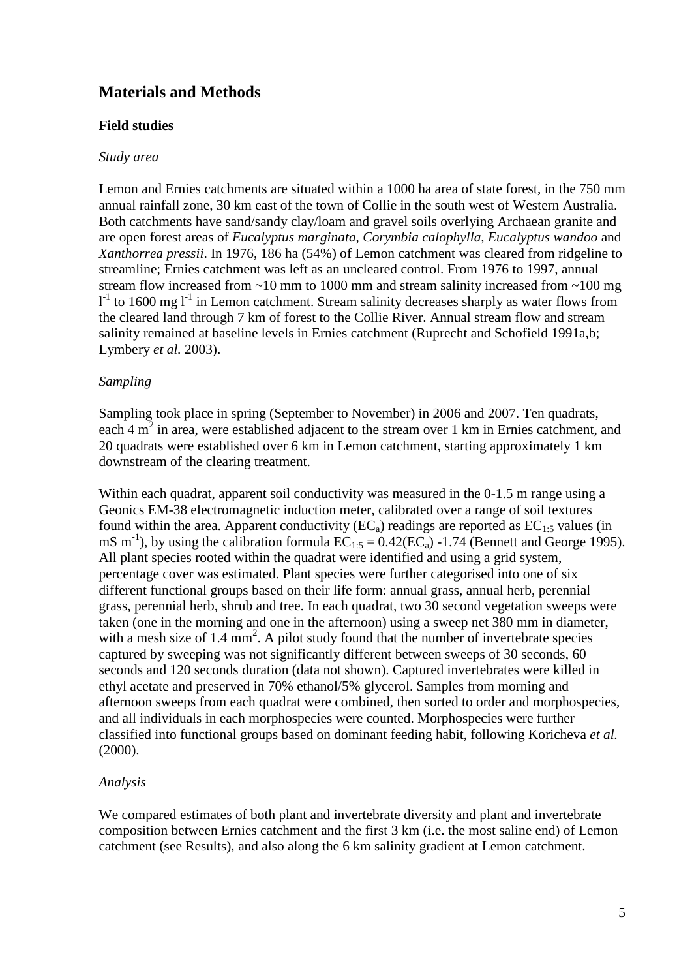# **Materials and Methods**

### **Field studies**

#### *Study area*

Lemon and Ernies catchments are situated within a 1000 ha area of state forest, in the 750 mm annual rainfall zone, 30 km east of the town of Collie in the south west of Western Australia. Both catchments have sand/sandy clay/loam and gravel soils overlying Archaean granite and are open forest areas of *Eucalyptus marginata*, *Corymbia calophylla, Eucalyptus wandoo* and *Xanthorrea pressii*. In 1976, 186 ha (54%) of Lemon catchment was cleared from ridgeline to streamline; Ernies catchment was left as an uncleared control. From 1976 to 1997, annual stream flow increased from  $\sim$ 10 mm to 1000 mm and stream salinity increased from  $\sim$ 100 mg  $1<sup>-1</sup>$  to 1600 mg  $1<sup>-1</sup>$  in Lemon catchment. Stream salinity decreases sharply as water flows from the cleared land through 7 km of forest to the Collie River. Annual stream flow and stream salinity remained at baseline levels in Ernies catchment (Ruprecht and Schofield 1991a,b; Lymbery *et al.* 2003).

### *Sampling*

Sampling took place in spring (September to November) in 2006 and 2007. Ten quadrats, each 4  $m<sup>2</sup>$  in area, were established adjacent to the stream over 1 km in Ernies catchment, and 20 quadrats were established over 6 km in Lemon catchment, starting approximately 1 km downstream of the clearing treatment.

Within each quadrat, apparent soil conductivity was measured in the 0-1.5 m range using a Geonics EM-38 electromagnetic induction meter, calibrated over a range of soil textures found within the area. Apparent conductivity ( $EC_a$ ) readings are reported as  $EC_{1:5}$  values (in mS m<sup>-1</sup>), by using the calibration formula  $EC_{1:5} = 0.42(EC_a)$  -1.74 (Bennett and George 1995). All plant species rooted within the quadrat were identified and using a grid system, percentage cover was estimated. Plant species were further categorised into one of six different functional groups based on their life form: annual grass, annual herb, perennial grass, perennial herb, shrub and tree. In each quadrat, two 30 second vegetation sweeps were taken (one in the morning and one in the afternoon) using a sweep net 380 mm in diameter, with a mesh size of  $1.4 \text{ mm}^2$ . A pilot study found that the number of invertebrate species captured by sweeping was not significantly different between sweeps of 30 seconds, 60 seconds and 120 seconds duration (data not shown). Captured invertebrates were killed in ethyl acetate and preserved in 70% ethanol/5% glycerol. Samples from morning and afternoon sweeps from each quadrat were combined, then sorted to order and morphospecies, and all individuals in each morphospecies were counted. Morphospecies were further classified into functional groups based on dominant feeding habit, following Koricheva *et al.* (2000).

#### *Analysis*

We compared estimates of both plant and invertebrate diversity and plant and invertebrate composition between Ernies catchment and the first 3 km (i.e. the most saline end) of Lemon catchment (see Results), and also along the 6 km salinity gradient at Lemon catchment.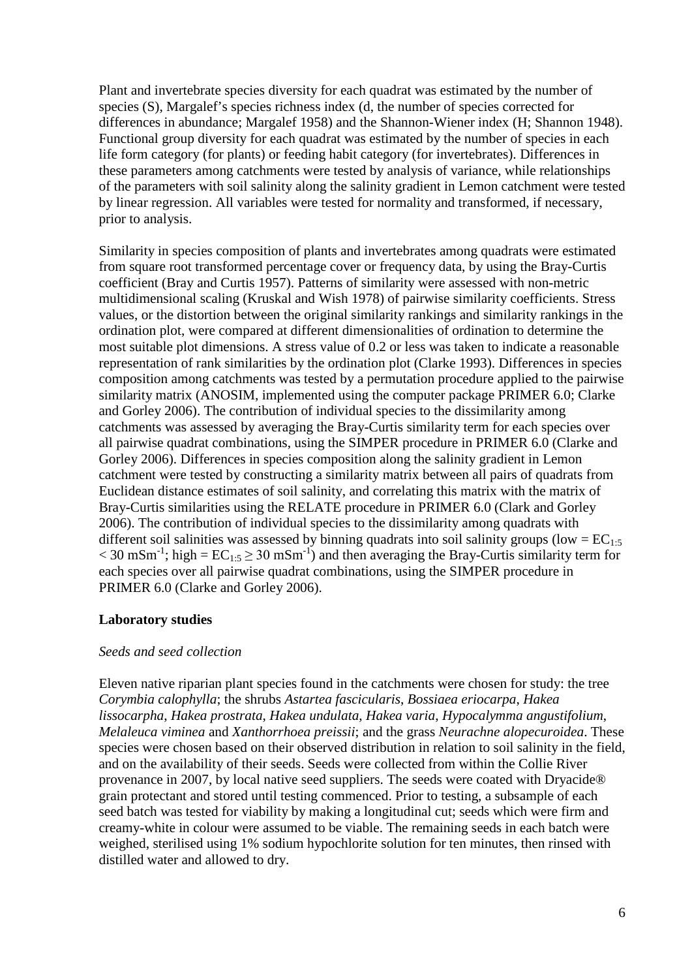Plant and invertebrate species diversity for each quadrat was estimated by the number of species (S), Margalef's species richness index (d, the number of species corrected for differences in abundance; Margalef 1958) and the Shannon-Wiener index (H; Shannon 1948). Functional group diversity for each quadrat was estimated by the number of species in each life form category (for plants) or feeding habit category (for invertebrates). Differences in these parameters among catchments were tested by analysis of variance, while relationships of the parameters with soil salinity along the salinity gradient in Lemon catchment were tested by linear regression. All variables were tested for normality and transformed, if necessary, prior to analysis.

Similarity in species composition of plants and invertebrates among quadrats were estimated from square root transformed percentage cover or frequency data, by using the Bray-Curtis coefficient (Bray and Curtis 1957). Patterns of similarity were assessed with non-metric multidimensional scaling (Kruskal and Wish 1978) of pairwise similarity coefficients. Stress values, or the distortion between the original similarity rankings and similarity rankings in the ordination plot, were compared at different dimensionalities of ordination to determine the most suitable plot dimensions. A stress value of 0.2 or less was taken to indicate a reasonable representation of rank similarities by the ordination plot (Clarke 1993). Differences in species composition among catchments was tested by a permutation procedure applied to the pairwise similarity matrix (ANOSIM, implemented using the computer package PRIMER 6.0; Clarke and Gorley 2006). The contribution of individual species to the dissimilarity among catchments was assessed by averaging the Bray-Curtis similarity term for each species over all pairwise quadrat combinations, using the SIMPER procedure in PRIMER 6.0 (Clarke and Gorley 2006). Differences in species composition along the salinity gradient in Lemon catchment were tested by constructing a similarity matrix between all pairs of quadrats from Euclidean distance estimates of soil salinity, and correlating this matrix with the matrix of Bray-Curtis similarities using the RELATE procedure in PRIMER 6.0 (Clark and Gorley 2006). The contribution of individual species to the dissimilarity among quadrats with different soil salinities was assessed by binning quadrats into soil salinity groups (low =  $EC_{1:5}$ )  $<$  30 mSm<sup>-1</sup>; high = EC<sub>1:5</sub>  $\geq$  30 mSm<sup>-1</sup>) and then averaging the Bray-Curtis similarity term for each species over all pairwise quadrat combinations, using the SIMPER procedure in PRIMER 6.0 (Clarke and Gorley 2006).

### **Laboratory studies**

#### *Seeds and seed collection*

Eleven native riparian plant species found in the catchments were chosen for study: the tree *Corymbia calophylla*; the shrubs *Astartea fascicularis*, *Bossiaea eriocarpa*, *Hakea lissocarpha*, *Hakea prostrata*, *Hakea undulata*, *Hakea varia*, *Hypocalymma angustifolium*, *Melaleuca viminea* and *Xanthorrhoea preissii*; and the grass *Neurachne alopecuroidea*. These species were chosen based on their observed distribution in relation to soil salinity in the field, and on the availability of their seeds. Seeds were collected from within the Collie River provenance in 2007, by local native seed suppliers. The seeds were coated with Dryacide® grain protectant and stored until testing commenced. Prior to testing, a subsample of each seed batch was tested for viability by making a longitudinal cut; seeds which were firm and creamy-white in colour were assumed to be viable. The remaining seeds in each batch were weighed, sterilised using 1% sodium hypochlorite solution for ten minutes, then rinsed with distilled water and allowed to dry.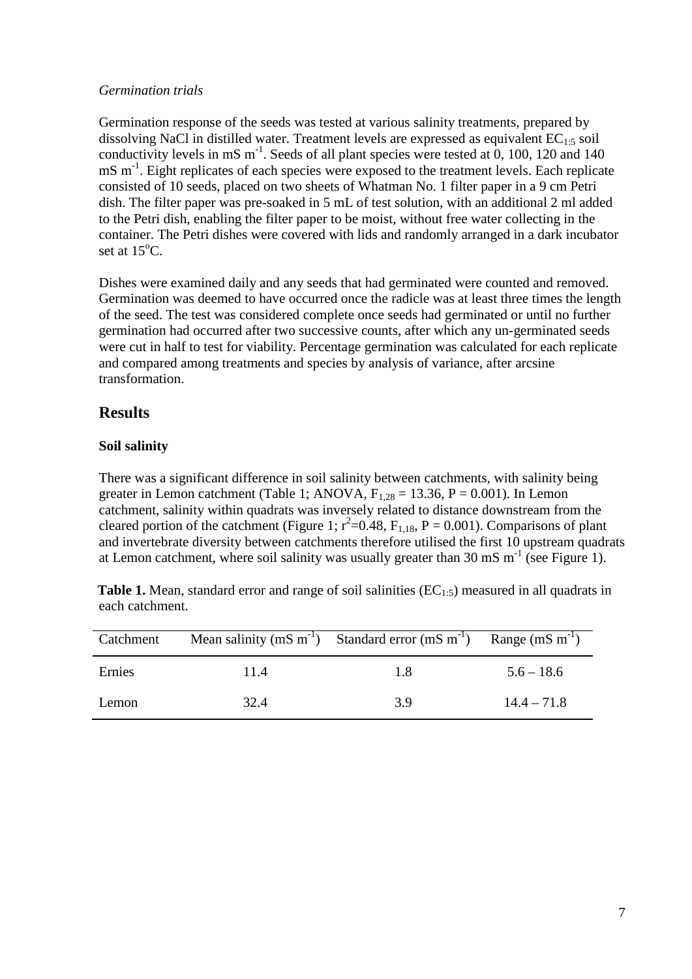### *Germination trials*

Germination response of the seeds was tested at various salinity treatments, prepared by dissolving NaCl in distilled water. Treatment levels are expressed as equivalent  $EC_{1:5}$  soil conductivity levels in mS  $m^{-1}$ . Seeds of all plant species were tested at 0, 100, 120 and 140 mS m<sup>-1</sup>. Eight replicates of each species were exposed to the treatment levels. Each replicate consisted of 10 seeds, placed on two sheets of Whatman No. 1 filter paper in a 9 cm Petri dish. The filter paper was pre-soaked in 5 mL of test solution, with an additional 2 ml added to the Petri dish, enabling the filter paper to be moist, without free water collecting in the container. The Petri dishes were covered with lids and randomly arranged in a dark incubator set at  $15^{\circ}$ C.

Dishes were examined daily and any seeds that had germinated were counted and removed. Germination was deemed to have occurred once the radicle was at least three times the length of the seed. The test was considered complete once seeds had germinated or until no further germination had occurred after two successive counts, after which any un-germinated seeds were cut in half to test for viability. Percentage germination was calculated for each replicate and compared among treatments and species by analysis of variance, after arcsine transformation.

## **Results**

### **Soil salinity**

There was a significant difference in soil salinity between catchments, with salinity being greater in Lemon catchment (Table 1; ANOVA,  $F_{1,28} = 13.36$ ,  $P = 0.001$ ). In Lemon catchment, salinity within quadrats was inversely related to distance downstream from the cleared portion of the catchment (Figure 1;  $r^2=0.48$ ,  $F_{1,18}$ ,  $P = 0.001$ ). Comparisons of plant and invertebrate diversity between catchments therefore utilised the first 10 upstream quadrats at Lemon catchment, where soil salinity was usually greater than 30 mS  $m^{-1}$  (see Figure 1).

**Table 1.** Mean, standard error and range of soil salinities  $(EC_{1:5})$  measured in all quadrats in each catchment.

| Catchment |      | Mean salinity (mS $m^{-1}$ ) Standard error (mS $m^{-1}$ ) | Range $(mS m^{-1})$ |
|-----------|------|------------------------------------------------------------|---------------------|
| Ernies    | 11.4 | 1.8                                                        | $5.6 - 18.6$        |
| Lemon     | 32.4 | 3.9                                                        | $14.4 - 71.8$       |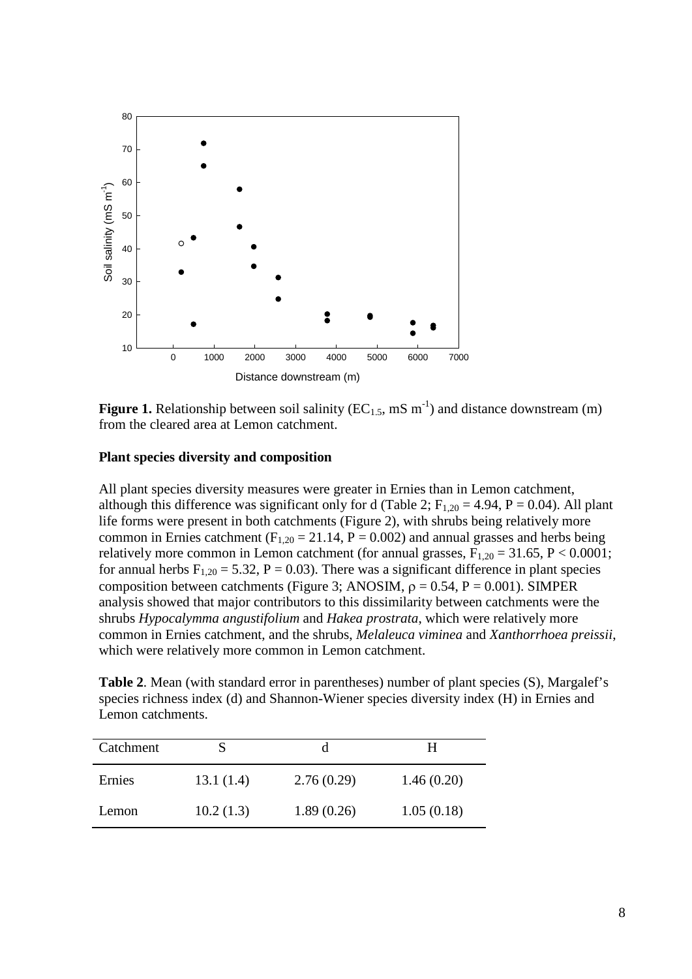

**Figure 1.** Relationship between soil salinity  $(EC_{1.5}, \text{mS m}^{-1})$  and distance downstream (m) from the cleared area at Lemon catchment.

#### **Plant species diversity and composition**

All plant species diversity measures were greater in Ernies than in Lemon catchment, although this difference was significant only for d (Table 2;  $F_{1,20} = 4.94$ ,  $P = 0.04$ ). All plant life forms were present in both catchments (Figure 2), with shrubs being relatively more common in Ernies catchment ( $F_{1,20} = 21.14$ ,  $P = 0.002$ ) and annual grasses and herbs being relatively more common in Lemon catchment (for annual grasses,  $F_{1,20} = 31.65$ ,  $P < 0.0001$ ; for annual herbs  $F_{1,20} = 5.32$ ,  $P = 0.03$ ). There was a significant difference in plant species composition between catchments (Figure 3; ANOSIM,  $\rho = 0.54$ , P = 0.001). SIMPER analysis showed that major contributors to this dissimilarity between catchments were the shrubs *Hypocalymma angustifolium* and *Hakea prostrata*, which were relatively more common in Ernies catchment, and the shrubs, *Melaleuca viminea* and *Xanthorrhoea preissii*, which were relatively more common in Lemon catchment.

**Table 2**. Mean (with standard error in parentheses) number of plant species (S), Margalef's species richness index (d) and Shannon-Wiener species diversity index (H) in Ernies and Lemon catchments.

| Catchment |           |            | н          |
|-----------|-----------|------------|------------|
| Ernies    | 13.1(1.4) | 2.76(0.29) | 1.46(0.20) |
| Lemon     | 10.2(1.3) | 1.89(0.26) | 1.05(0.18) |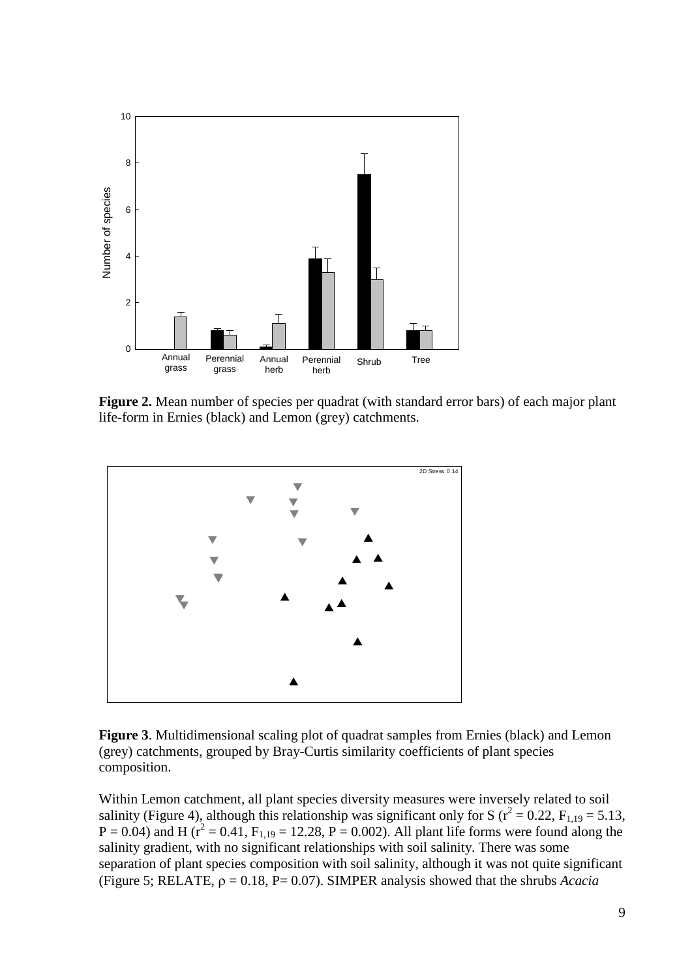

**Figure 2.** Mean number of species per quadrat (with standard error bars) of each major plant life-form in Ernies (black) and Lemon (grey) catchments.



**Figure 3**. Multidimensional scaling plot of quadrat samples from Ernies (black) and Lemon (grey) catchments, grouped by Bray-Curtis similarity coefficients of plant species composition.

Within Lemon catchment, all plant species diversity measures were inversely related to soil salinity (Figure 4), although this relationship was significant only for S ( $r^2 = 0.22$ ,  $F_{1,19} = 5.13$ ,  $P = 0.04$ ) and H ( $r^2 = 0.41$ ,  $F_{1,19} = 12.28$ ,  $P = 0.002$ ). All plant life forms were found along the salinity gradient, with no significant relationships with soil salinity. There was some separation of plant species composition with soil salinity, although it was not quite significant (Figure 5; RELATE, ρ = 0.18, P= 0.07). SIMPER analysis showed that the shrubs *Acacia*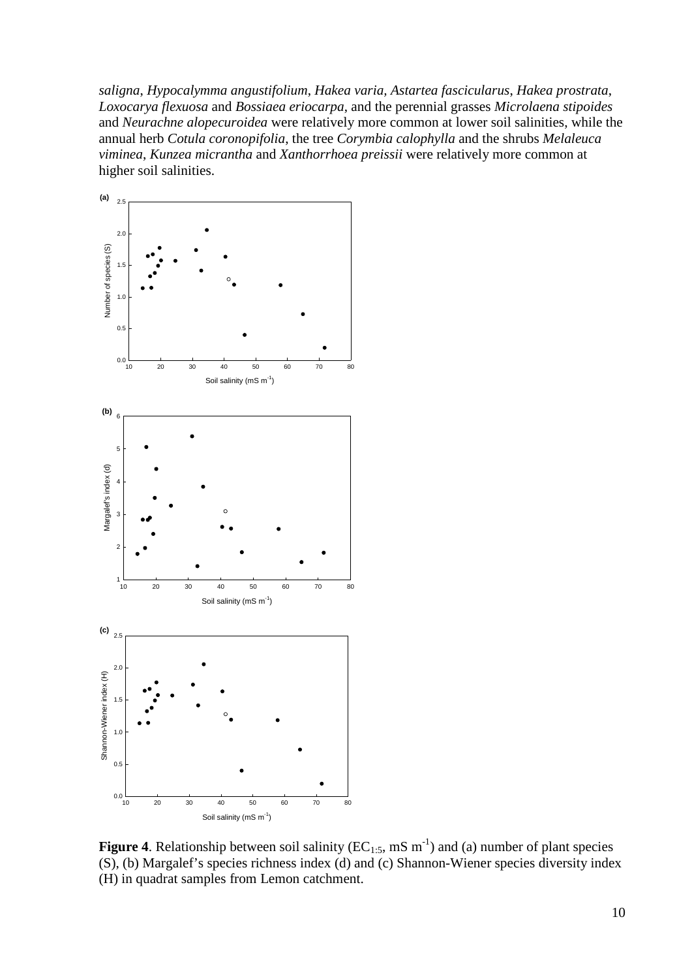*saligna*, *Hypocalymma angustifolium*, *Hakea varia, Astartea fascicularus*, *Hakea prostrata*, *Loxocarya flexuosa* and *Bossiaea eriocarpa*, and the perennial grasses *Microlaena stipoides* and *Neurachne alopecuroidea* were relatively more common at lower soil salinities, while the annual herb *Cotula coronopifolia*, the tree *Corymbia calophylla* and the shrubs *Melaleuca viminea*, *Kunzea micrantha* and *Xanthorrhoea preissii* were relatively more common at higher soil salinities.



**Figure 4.** Relationship between soil salinity  $(EC_{1:5}, \text{mS m}^{-1})$  and (a) number of plant species (S), (b) Margalef's species richness index (d) and (c) Shannon-Wiener species diversity index (H) in quadrat samples from Lemon catchment.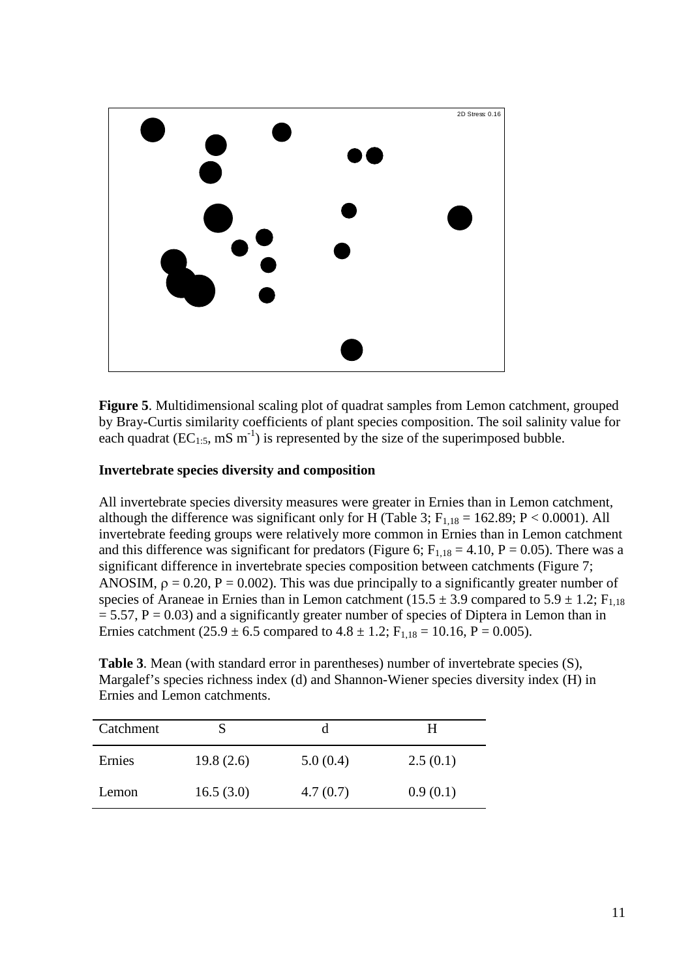

**Figure 5**. Multidimensional scaling plot of quadrat samples from Lemon catchment, grouped by Bray-Curtis similarity coefficients of plant species composition. The soil salinity value for each quadrat ( $EC_{1:5}$ , mS m<sup>-1</sup>) is represented by the size of the superimposed bubble.

### **Invertebrate species diversity and composition**

All invertebrate species diversity measures were greater in Ernies than in Lemon catchment, although the difference was significant only for H (Table 3;  $F_{1,18} = 162.89$ ;  $P < 0.0001$ ). All invertebrate feeding groups were relatively more common in Ernies than in Lemon catchment and this difference was significant for predators (Figure 6;  $F_{1,18} = 4.10$ ,  $P = 0.05$ ). There was a significant difference in invertebrate species composition between catchments (Figure 7; ANOSIM,  $\rho = 0.20$ ,  $P = 0.002$ ). This was due principally to a significantly greater number of species of Araneae in Ernies than in Lemon catchment ( $15.5 \pm 3.9$  compared to  $5.9 \pm 1.2$ ; F<sub>1,18</sub>  $= 5.57$ ,  $P = 0.03$ ) and a significantly greater number of species of Diptera in Lemon than in Ernies catchment (25.9  $\pm$  6.5 compared to 4.8  $\pm$  1.2; F<sub>1,18</sub> = 10.16, P = 0.005).

**Table 3**. Mean (with standard error in parentheses) number of invertebrate species (S), Margalef's species richness index (d) and Shannon-Wiener species diversity index (H) in Ernies and Lemon catchments.

| Catchment |           | a        | н        |
|-----------|-----------|----------|----------|
| Ernies    | 19.8(2.6) | 5.0(0.4) | 2.5(0.1) |
| Lemon     | 16.5(3.0) | 4.7(0.7) | 0.9(0.1) |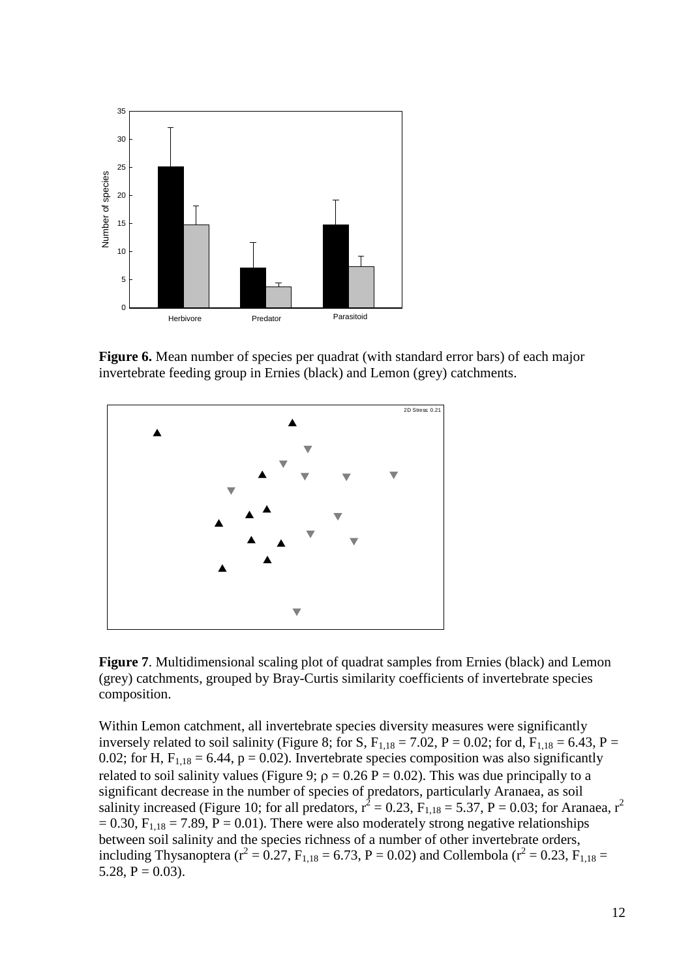

**Figure 6.** Mean number of species per quadrat (with standard error bars) of each major invertebrate feeding group in Ernies (black) and Lemon (grey) catchments.



**Figure 7**. Multidimensional scaling plot of quadrat samples from Ernies (black) and Lemon (grey) catchments, grouped by Bray-Curtis similarity coefficients of invertebrate species composition.

Within Lemon catchment, all invertebrate species diversity measures were significantly inversely related to soil salinity (Figure 8; for S,  $F_{1,18} = 7.02$ , P = 0.02; for d,  $F_{1,18} = 6.43$ , P = 0.02; for H,  $F_{1,18} = 6.44$ ,  $p = 0.02$ ). Invertebrate species composition was also significantly related to soil salinity values (Figure 9;  $\rho = 0.26$  P = 0.02). This was due principally to a significant decrease in the number of species of predators, particularly Aranaea, as soil salinity increased (Figure 10; for all predators,  $r^2 = 0.23$ ,  $F_{1,18} = 5.37$ ,  $P = 0.03$ ; for Aranaea,  $r^2$  $= 0.30$ ,  $F_{1,18} = 7.89$ ,  $P = 0.01$ ). There were also moderately strong negative relationships between soil salinity and the species richness of a number of other invertebrate orders, including Thysanoptera ( $r^2 = 0.27$ ,  $F_{1,18} = 6.73$ ,  $P = 0.02$ ) and Collembola ( $r^2 = 0.23$ ,  $F_{1,18} =$ 5.28,  $P = 0.03$ ).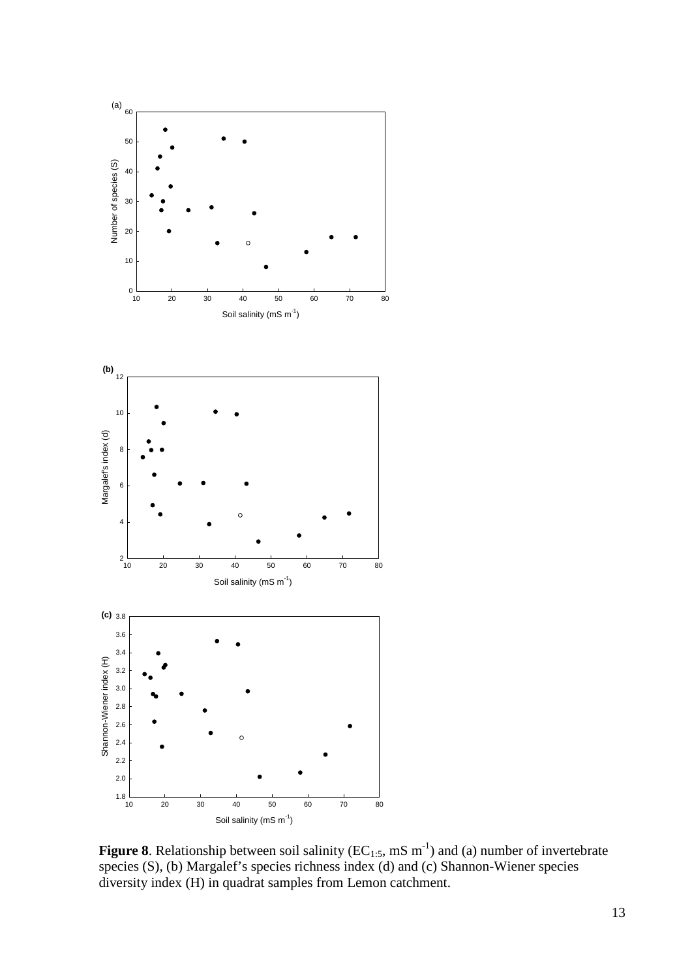

**Figure 8**. Relationship between soil salinity ( $EC_{1:5}$ , mS  $m^{-1}$ ) and (a) number of invertebrate species (S), (b) Margalef's species richness index (d) and (c) Shannon-Wiener species diversity index (H) in quadrat samples from Lemon catchment.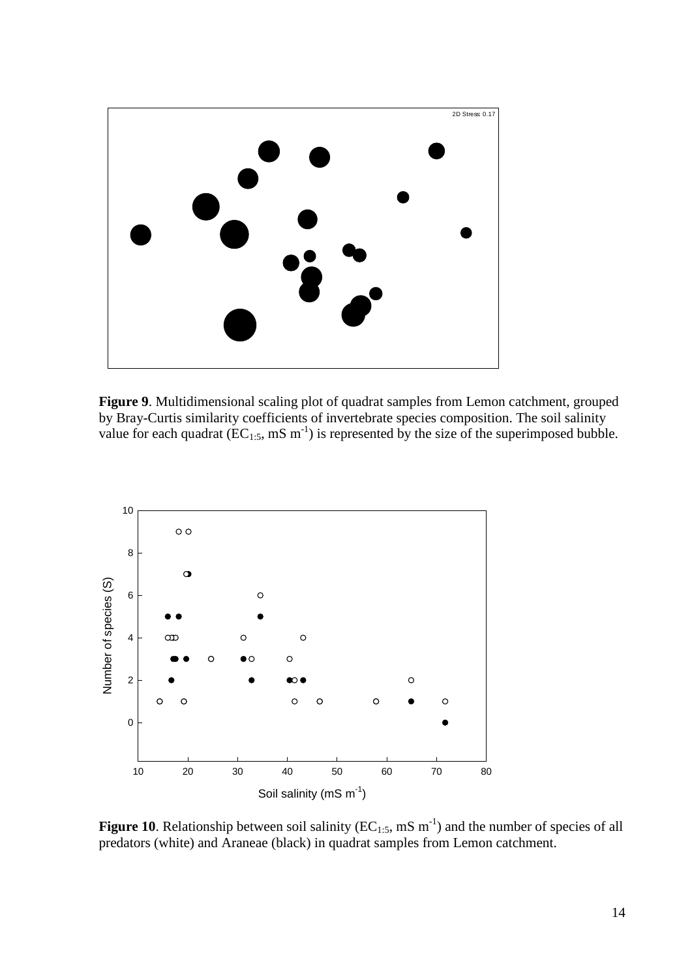

**Figure 9**. Multidimensional scaling plot of quadrat samples from Lemon catchment, grouped by Bray-Curtis similarity coefficients of invertebrate species composition. The soil salinity value for each quadrat ( $EC_{1:5}$ , mS m<sup>-1</sup>) is represented by the size of the superimposed bubble.



**Figure 10**. Relationship between soil salinity ( $EC_{1:5}$ , mS  $m^{-1}$ ) and the number of species of all predators (white) and Araneae (black) in quadrat samples from Lemon catchment.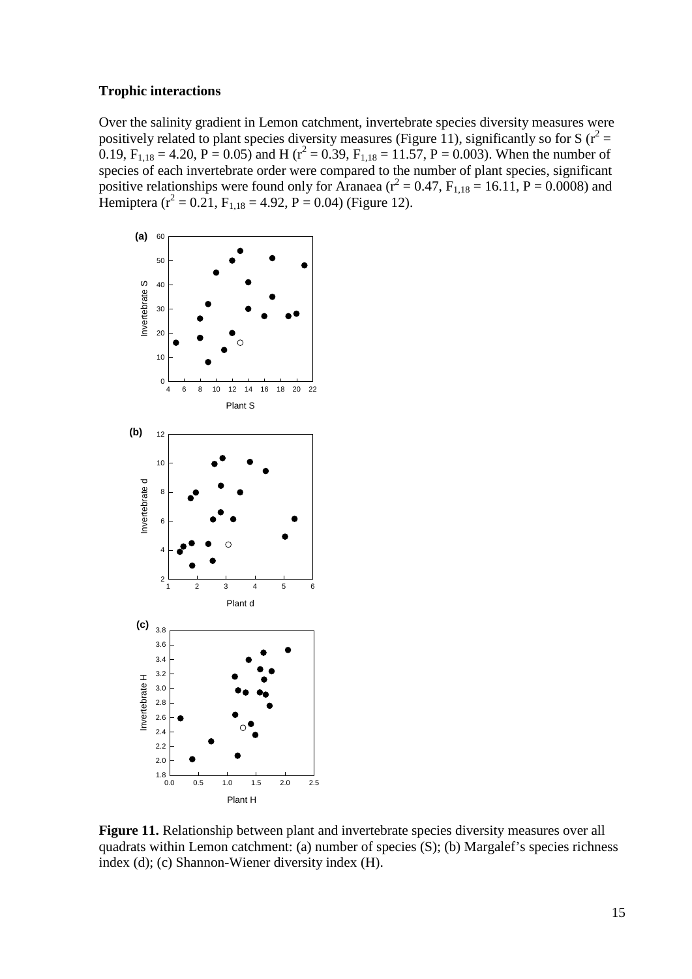#### **Trophic interactions**

Over the salinity gradient in Lemon catchment, invertebrate species diversity measures were positively related to plant species diversity measures (Figure 11), significantly so for S ( $r^2$  = 0.19,  $F_{1,18} = 4.20$ ,  $P = 0.05$ ) and H ( $r^2 = 0.39$ ,  $F_{1,18} = 11.57$ ,  $P = 0.003$ ). When the number of species of each invertebrate order were compared to the number of plant species, significant positive relationships were found only for Aranaea ( $r^2 = 0.47$ ,  $F_{1,18} = 16.11$ ,  $P = 0.0008$ ) and Hemiptera ( $r^2 = 0.21$ ,  $F_{1,18} = 4.92$ ,  $P = 0.04$ ) (Figure 12).



**Figure 11.** Relationship between plant and invertebrate species diversity measures over all quadrats within Lemon catchment: (a) number of species (S); (b) Margalef's species richness index (d); (c) Shannon-Wiener diversity index (H).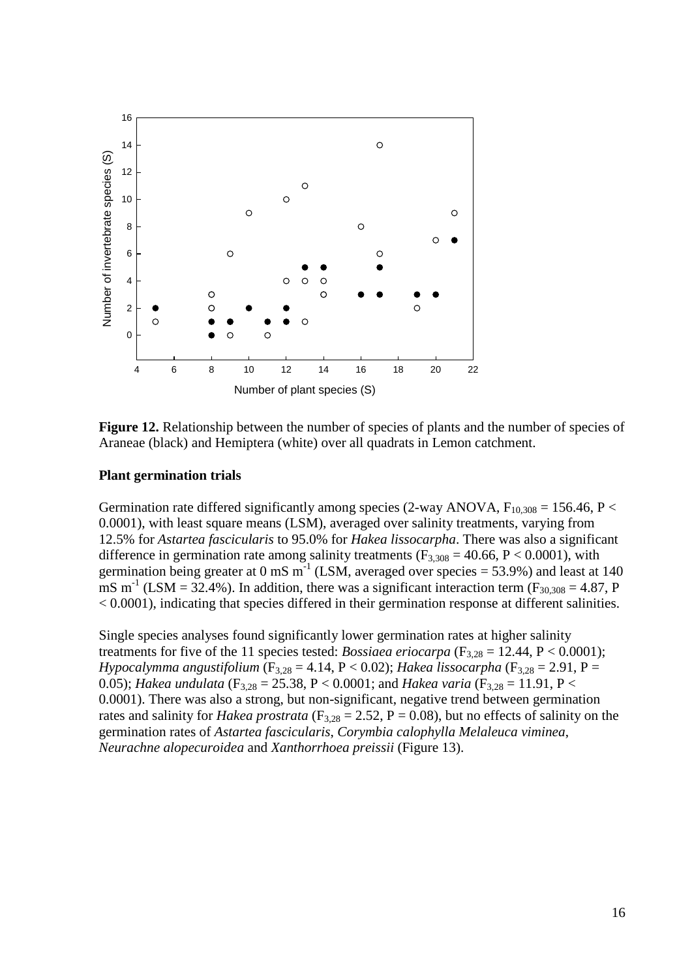

**Figure 12.** Relationship between the number of species of plants and the number of species of Araneae (black) and Hemiptera (white) over all quadrats in Lemon catchment.

#### **Plant germination trials**

Germination rate differed significantly among species (2-way ANOVA,  $F_{10,308} = 156.46$ , P < 0.0001), with least square means (LSM), averaged over salinity treatments, varying from 12.5% for *Astartea fascicularis* to 95.0% for *Hakea lissocarpha*. There was also a significant difference in germination rate among salinity treatments ( $F_{3,308} = 40.66$ ,  $P < 0.0001$ ), with germination being greater at 0 mS  $\text{m}^{-1}$  (LSM, averaged over species = 53.9%) and least at 140 mS m<sup>-1</sup> (LSM = 32.4%). In addition, there was a significant interaction term ( $F_{30,308} = 4.87$ , P < 0.0001), indicating that species differed in their germination response at different salinities.

Single species analyses found significantly lower germination rates at higher salinity treatments for five of the 11 species tested: *Bossiaea eriocarpa* ( $F_{3,28} = 12.44$ ,  $P < 0.0001$ ); *Hypocalymma angustifolium* (F3,28 = 4.14, P < 0.02); *Hakea lissocarpha* (F3,28 = 2.91, P = 0.05); *Hakea undulata* (F<sub>3,28</sub> = 25.38, P < 0.0001; and *Hakea varia* (F<sub>3,28</sub> = 11.91, P < 0.0001). There was also a strong, but non-significant, negative trend between germination rates and salinity for *Hakea prostrata* ( $F_{3,28} = 2.52$ ,  $P = 0.08$ ), but no effects of salinity on the germination rates of *Astartea fascicularis*, *Corymbia calophylla Melaleuca viminea*, *Neurachne alopecuroidea* and *Xanthorrhoea preissii* (Figure 13).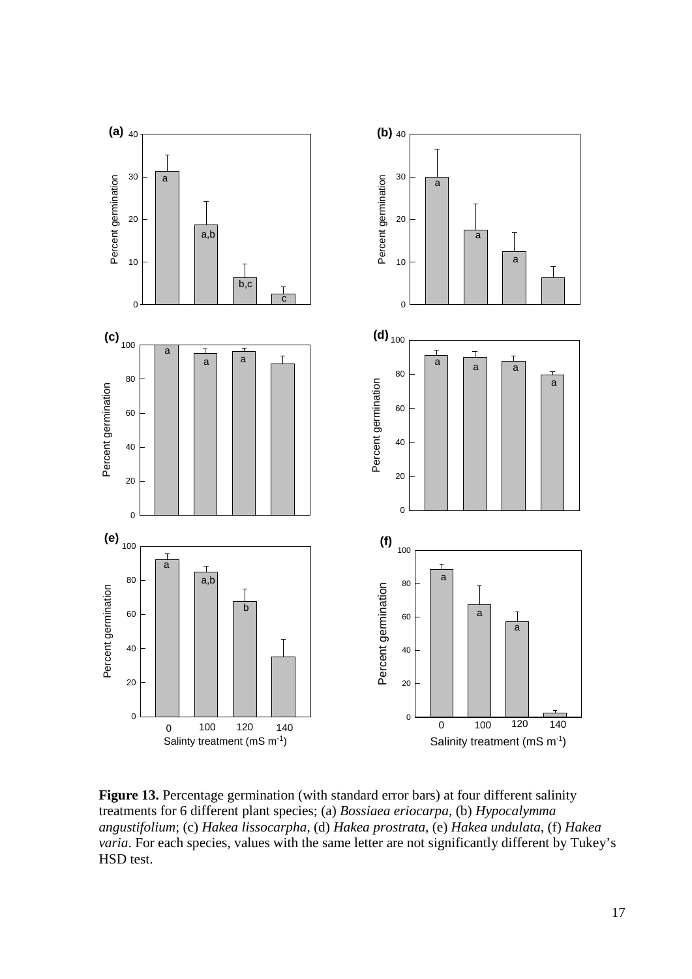

**Figure 13.** Percentage germination (with standard error bars) at four different salinity treatments for 6 different plant species; (a) *Bossiaea eriocarpa*, (b) *Hypocalymma angustifolium*; (c) *Hakea lissocarpha*, (d) *Hakea prostrata*, (e) *Hakea undulata*, (f) *Hakea varia*. For each species, values with the same letter are not significantly different by Tukey's HSD test.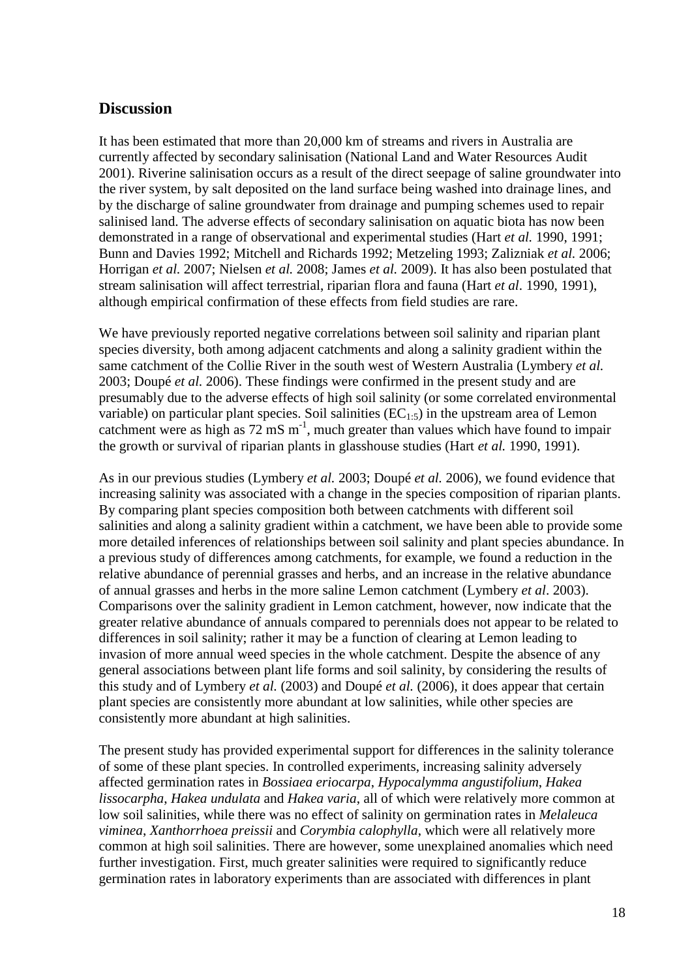### **Discussion**

It has been estimated that more than 20,000 km of streams and rivers in Australia are currently affected by secondary salinisation (National Land and Water Resources Audit 2001). Riverine salinisation occurs as a result of the direct seepage of saline groundwater into the river system, by salt deposited on the land surface being washed into drainage lines, and by the discharge of saline groundwater from drainage and pumping schemes used to repair salinised land. The adverse effects of secondary salinisation on aquatic biota has now been demonstrated in a range of observational and experimental studies (Hart *et al.* 1990, 1991; Bunn and Davies 1992; Mitchell and Richards 1992; Metzeling 1993; Zalizniak *et al.* 2006; Horrigan *et al.* 2007; Nielsen *et al.* 2008; James *et al.* 2009). It has also been postulated that stream salinisation will affect terrestrial, riparian flora and fauna (Hart *et al.* 1990, 1991), although empirical confirmation of these effects from field studies are rare.

We have previously reported negative correlations between soil salinity and riparian plant species diversity, both among adjacent catchments and along a salinity gradient within the same catchment of the Collie River in the south west of Western Australia (Lymbery *et al.* 2003; Doupé *et al.* 2006). These findings were confirmed in the present study and are presumably due to the adverse effects of high soil salinity (or some correlated environmental variable) on particular plant species. Soil salinities  $(EC<sub>1:5</sub>)$  in the upstream area of Lemon catchment were as high as  $72 \text{ mS m}^{-1}$ , much greater than values which have found to impair the growth or survival of riparian plants in glasshouse studies (Hart *et al.* 1990, 1991).

As in our previous studies (Lymbery *et al.* 2003; Doupé *et al.* 2006), we found evidence that increasing salinity was associated with a change in the species composition of riparian plants. By comparing plant species composition both between catchments with different soil salinities and along a salinity gradient within a catchment, we have been able to provide some more detailed inferences of relationships between soil salinity and plant species abundance. In a previous study of differences among catchments, for example, we found a reduction in the relative abundance of perennial grasses and herbs, and an increase in the relative abundance of annual grasses and herbs in the more saline Lemon catchment (Lymbery *et al*. 2003). Comparisons over the salinity gradient in Lemon catchment, however, now indicate that the greater relative abundance of annuals compared to perennials does not appear to be related to differences in soil salinity; rather it may be a function of clearing at Lemon leading to invasion of more annual weed species in the whole catchment. Despite the absence of any general associations between plant life forms and soil salinity, by considering the results of this study and of Lymbery *et al.* (2003) and Doupé *et al.* (2006), it does appear that certain plant species are consistently more abundant at low salinities, while other species are consistently more abundant at high salinities.

The present study has provided experimental support for differences in the salinity tolerance of some of these plant species. In controlled experiments, increasing salinity adversely affected germination rates in *Bossiaea eriocarpa*, *Hypocalymma angustifolium*, *Hakea lissocarpha*, *Hakea undulata* and *Hakea varia*, all of which were relatively more common at low soil salinities, while there was no effect of salinity on germination rates in *Melaleuca viminea*, *Xanthorrhoea preissii* and *Corymbia calophylla*, which were all relatively more common at high soil salinities. There are however, some unexplained anomalies which need further investigation. First, much greater salinities were required to significantly reduce germination rates in laboratory experiments than are associated with differences in plant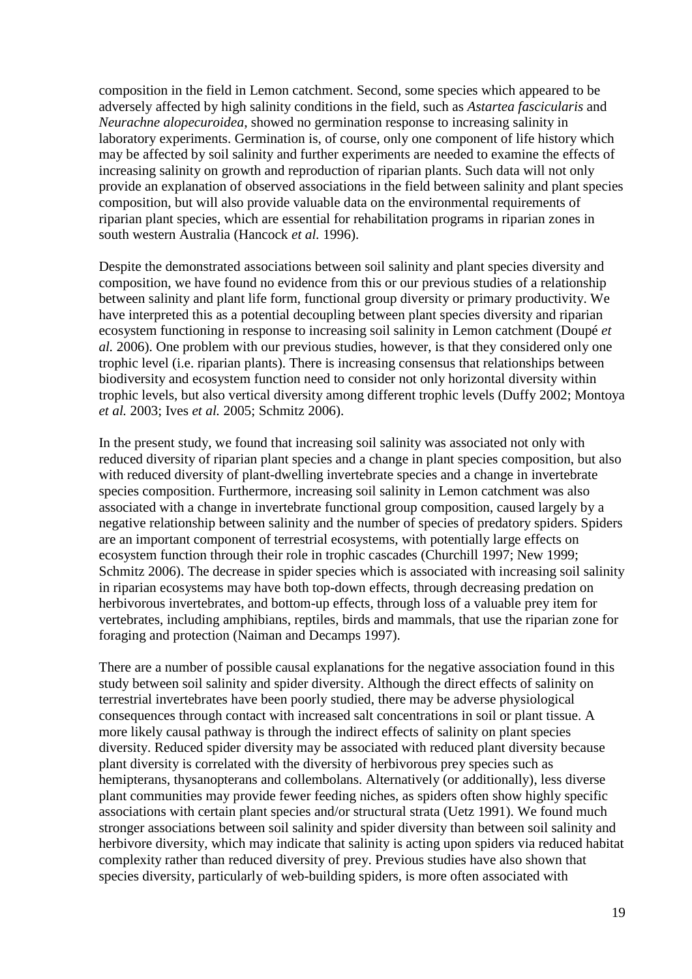composition in the field in Lemon catchment. Second, some species which appeared to be adversely affected by high salinity conditions in the field, such as *Astartea fascicularis* and *Neurachne alopecuroidea*, showed no germination response to increasing salinity in laboratory experiments. Germination is, of course, only one component of life history which may be affected by soil salinity and further experiments are needed to examine the effects of increasing salinity on growth and reproduction of riparian plants. Such data will not only provide an explanation of observed associations in the field between salinity and plant species composition, but will also provide valuable data on the environmental requirements of riparian plant species, which are essential for rehabilitation programs in riparian zones in south western Australia (Hancock *et al.* 1996).

Despite the demonstrated associations between soil salinity and plant species diversity and composition, we have found no evidence from this or our previous studies of a relationship between salinity and plant life form, functional group diversity or primary productivity. We have interpreted this as a potential decoupling between plant species diversity and riparian ecosystem functioning in response to increasing soil salinity in Lemon catchment (Doupé *et al.* 2006). One problem with our previous studies, however, is that they considered only one trophic level (i.e. riparian plants). There is increasing consensus that relationships between biodiversity and ecosystem function need to consider not only horizontal diversity within trophic levels, but also vertical diversity among different trophic levels (Duffy 2002; Montoya *et al.* 2003; Ives *et al.* 2005; Schmitz 2006).

In the present study, we found that increasing soil salinity was associated not only with reduced diversity of riparian plant species and a change in plant species composition, but also with reduced diversity of plant-dwelling invertebrate species and a change in invertebrate species composition. Furthermore, increasing soil salinity in Lemon catchment was also associated with a change in invertebrate functional group composition, caused largely by a negative relationship between salinity and the number of species of predatory spiders. Spiders are an important component of terrestrial ecosystems, with potentially large effects on ecosystem function through their role in trophic cascades (Churchill 1997; New 1999; Schmitz 2006). The decrease in spider species which is associated with increasing soil salinity in riparian ecosystems may have both top-down effects, through decreasing predation on herbivorous invertebrates, and bottom-up effects, through loss of a valuable prey item for vertebrates, including amphibians, reptiles, birds and mammals, that use the riparian zone for foraging and protection (Naiman and Decamps 1997).

There are a number of possible causal explanations for the negative association found in this study between soil salinity and spider diversity. Although the direct effects of salinity on terrestrial invertebrates have been poorly studied, there may be adverse physiological consequences through contact with increased salt concentrations in soil or plant tissue. A more likely causal pathway is through the indirect effects of salinity on plant species diversity. Reduced spider diversity may be associated with reduced plant diversity because plant diversity is correlated with the diversity of herbivorous prey species such as hemipterans, thysanopterans and collembolans. Alternatively (or additionally), less diverse plant communities may provide fewer feeding niches, as spiders often show highly specific associations with certain plant species and/or structural strata (Uetz 1991). We found much stronger associations between soil salinity and spider diversity than between soil salinity and herbivore diversity, which may indicate that salinity is acting upon spiders via reduced habitat complexity rather than reduced diversity of prey. Previous studies have also shown that species diversity, particularly of web-building spiders, is more often associated with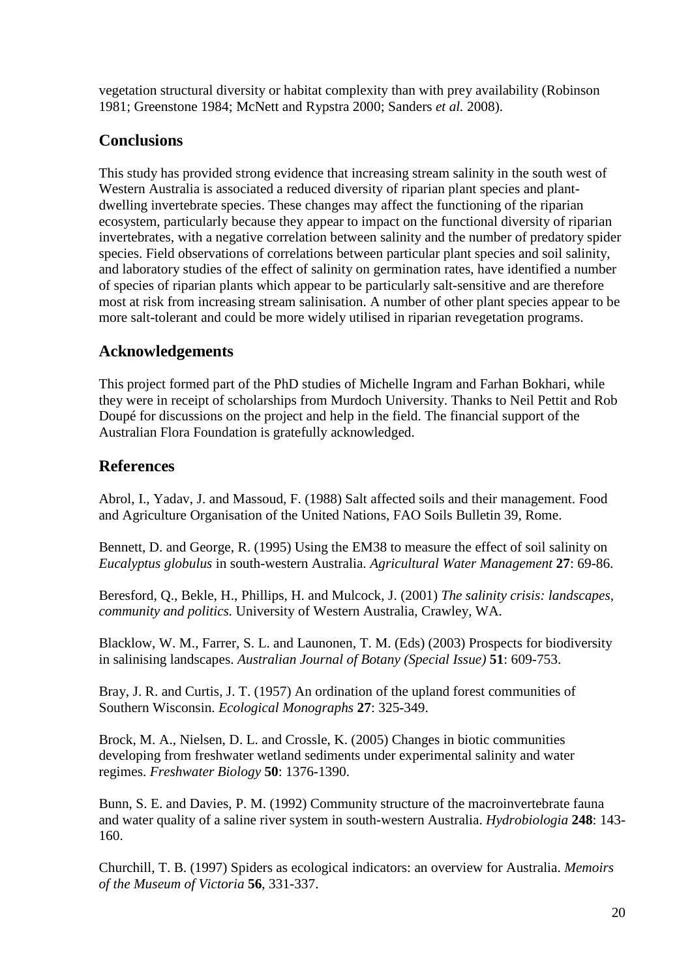vegetation structural diversity or habitat complexity than with prey availability (Robinson 1981; Greenstone 1984; McNett and Rypstra 2000; Sanders *et al.* 2008).

## **Conclusions**

This study has provided strong evidence that increasing stream salinity in the south west of Western Australia is associated a reduced diversity of riparian plant species and plantdwelling invertebrate species. These changes may affect the functioning of the riparian ecosystem, particularly because they appear to impact on the functional diversity of riparian invertebrates, with a negative correlation between salinity and the number of predatory spider species. Field observations of correlations between particular plant species and soil salinity, and laboratory studies of the effect of salinity on germination rates, have identified a number of species of riparian plants which appear to be particularly salt-sensitive and are therefore most at risk from increasing stream salinisation. A number of other plant species appear to be more salt-tolerant and could be more widely utilised in riparian revegetation programs.

## **Acknowledgements**

This project formed part of the PhD studies of Michelle Ingram and Farhan Bokhari, while they were in receipt of scholarships from Murdoch University. Thanks to Neil Pettit and Rob Doupé for discussions on the project and help in the field. The financial support of the Australian Flora Foundation is gratefully acknowledged.

## **References**

Abrol, I., Yadav, J. and Massoud, F. (1988) Salt affected soils and their management. Food and Agriculture Organisation of the United Nations, FAO Soils Bulletin 39, Rome.

Bennett, D. and George, R. (1995) Using the EM38 to measure the effect of soil salinity on *Eucalyptus globulus* in south-western Australia. *Agricultural Water Management* **27**: 69-86.

Beresford, Q., Bekle, H., Phillips, H. and Mulcock, J. (2001) *The salinity crisis: landscapes, community and politics.* University of Western Australia, Crawley, WA.

Blacklow, W. M., Farrer, S. L. and Launonen, T. M. (Eds) (2003) Prospects for biodiversity in salinising landscapes. *Australian Journal of Botany (Special Issue)* **51**: 609-753.

Bray, J. R. and Curtis, J. T. (1957) An ordination of the upland forest communities of Southern Wisconsin. *Ecological Monographs* **27**: 325-349.

Brock, M. A., Nielsen, D. L. and Crossle, K. (2005) Changes in biotic communities developing from freshwater wetland sediments under experimental salinity and water regimes. *Freshwater Biology* **50**: 1376-1390.

Bunn, S. E. and Davies, P. M. (1992) Community structure of the macroinvertebrate fauna and water quality of a saline river system in south-western Australia. *Hydrobiologia* **248**: 143- 160.

Churchill, T. B. (1997) Spiders as ecological indicators: an overview for Australia. *Memoirs of the Museum of Victoria* **56**, 331-337.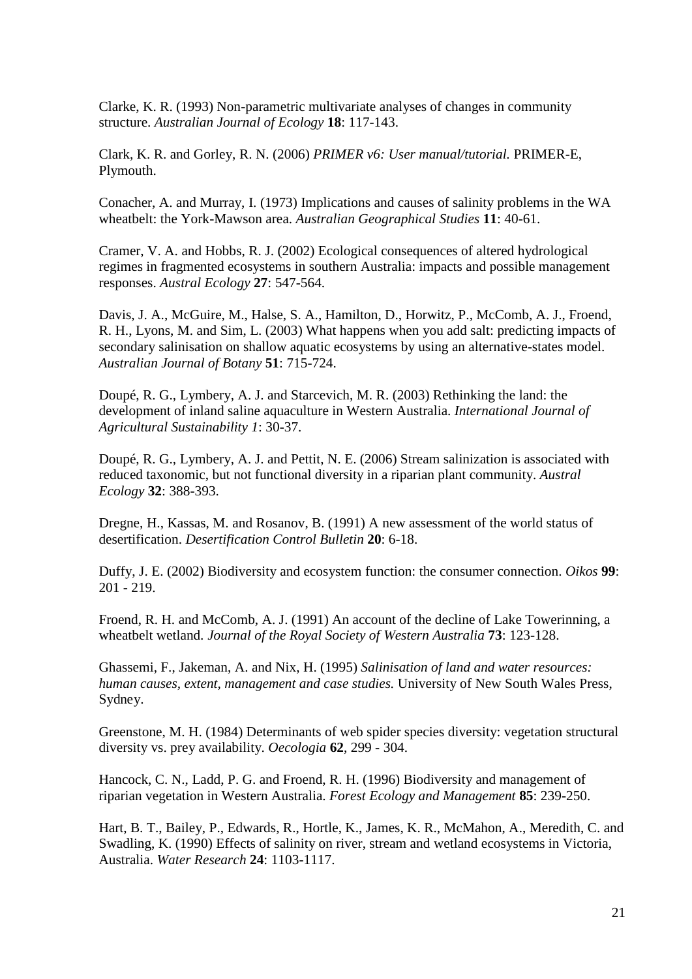Clarke, K. R. (1993) Non-parametric multivariate analyses of changes in community structure. *Australian Journal of Ecology* **18**: 117-143.

Clark, K. R. and Gorley, R. N. (2006) *PRIMER v6: User manual/tutorial.* PRIMER-E, Plymouth.

Conacher, A. and Murray, I. (1973) Implications and causes of salinity problems in the WA wheatbelt: the York-Mawson area. *Australian Geographical Studies* **11**: 40-61.

Cramer, V. A. and Hobbs, R. J. (2002) Ecological consequences of altered hydrological regimes in fragmented ecosystems in southern Australia: impacts and possible management responses. *Austral Ecology* **27**: 547-564.

Davis, J. A., McGuire, M., Halse, S. A., Hamilton, D., Horwitz, P., McComb, A. J., Froend, R. H., Lyons, M. and Sim, L. (2003) What happens when you add salt: predicting impacts of secondary salinisation on shallow aquatic ecosystems by using an alternative-states model. *Australian Journal of Botany* **51**: 715-724.

Doupé, R. G., Lymbery, A. J. and Starcevich, M. R. (2003) Rethinking the land: the development of inland saline aquaculture in Western Australia. *International Journal of Agricultural Sustainability 1*: 30-37.

Doupé, R. G., Lymbery, A. J. and Pettit, N. E. (2006) Stream salinization is associated with reduced taxonomic, but not functional diversity in a riparian plant community. *Austral Ecology* **32**: 388-393.

Dregne, H., Kassas, M. and Rosanov, B. (1991) A new assessment of the world status of desertification. *Desertification Control Bulletin* **20**: 6-18.

Duffy, J. E. (2002) Biodiversity and ecosystem function: the consumer connection. *Oikos* **99**: 201 - 219.

Froend, R. H. and McComb, A. J. (1991) An account of the decline of Lake Towerinning, a wheatbelt wetland. *Journal of the Royal Society of Western Australia* **73**: 123-128.

Ghassemi, F., Jakeman, A. and Nix, H. (1995) *Salinisation of land and water resources: human causes, extent, management and case studies.* University of New South Wales Press, Sydney.

Greenstone, M. H. (1984) Determinants of web spider species diversity: vegetation structural diversity vs. prey availability. *Oecologia* **62**, 299 - 304.

Hancock, C. N., Ladd, P. G. and Froend, R. H. (1996) Biodiversity and management of riparian vegetation in Western Australia. *Forest Ecology and Management* **85**: 239-250.

Hart, B. T., Bailey, P., Edwards, R., Hortle, K., James, K. R., McMahon, A., Meredith, C. and Swadling, K. (1990) Effects of salinity on river, stream and wetland ecosystems in Victoria, Australia. *Water Research* **24**: 1103-1117.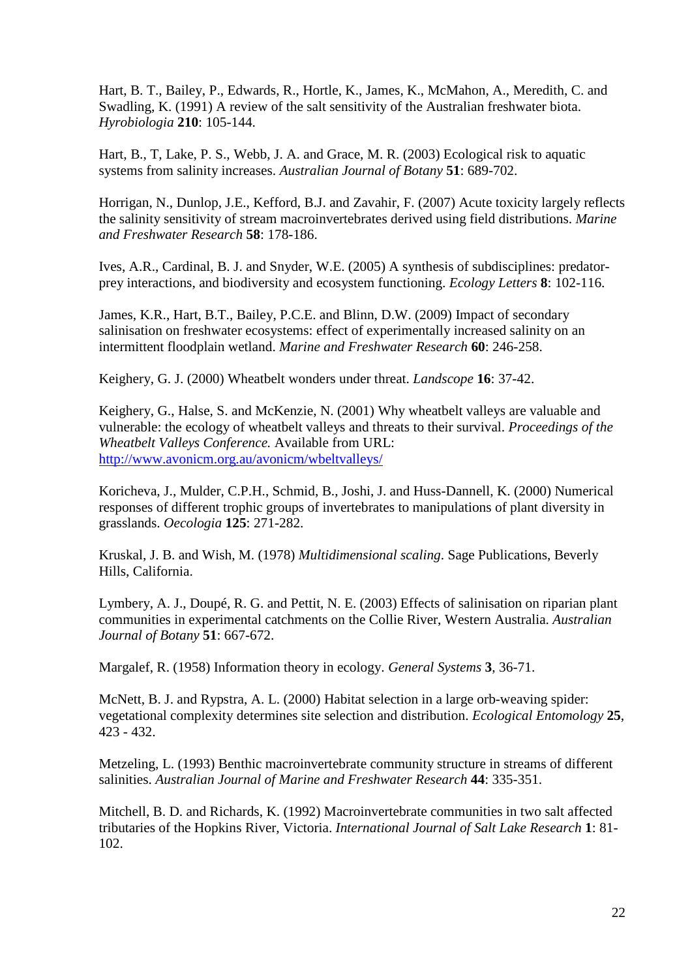Hart, B. T., Bailey, P., Edwards, R., Hortle, K., James, K., McMahon, A., Meredith, C. and Swadling, K. (1991) A review of the salt sensitivity of the Australian freshwater biota. *Hyrobiologia* **210**: 105-144.

Hart, B., T, Lake, P. S., Webb, J. A. and Grace, M. R. (2003) Ecological risk to aquatic systems from salinity increases. *Australian Journal of Botany* **51**: 689-702.

Horrigan, N., Dunlop, J.E., Kefford, B.J. and Zavahir, F. (2007) Acute toxicity largely reflects the salinity sensitivity of stream macroinvertebrates derived using field distributions. *Marine and Freshwater Research* **58**: 178-186.

Ives, A.R., Cardinal, B. J. and Snyder, W.E. (2005) A synthesis of subdisciplines: predatorprey interactions, and biodiversity and ecosystem functioning. *Ecology Letters* **8**: 102-116.

James, K.R., Hart, B.T., Bailey, P.C.E. and Blinn, D.W. (2009) Impact of secondary salinisation on freshwater ecosystems: effect of experimentally increased salinity on an intermittent floodplain wetland. *Marine and Freshwater Research* **60**: 246-258.

Keighery, G. J. (2000) Wheatbelt wonders under threat. *Landscope* **16**: 37-42.

Keighery, G., Halse, S. and McKenzie, N. (2001) Why wheatbelt valleys are valuable and vulnerable: the ecology of wheatbelt valleys and threats to their survival. *Proceedings of the Wheatbelt Valleys Conference.* Available from URL: <http://www.avonicm.org.au/avonicm/wbeltvalleys/>

Koricheva, J., Mulder, C.P.H., Schmid, B., Joshi, J. and Huss-Dannell, K. (2000) Numerical responses of different trophic groups of invertebrates to manipulations of plant diversity in grasslands. *Oecologia* **125**: 271-282.

Kruskal, J. B. and Wish, M. (1978) *Multidimensional scaling*. Sage Publications, Beverly Hills, California.

Lymbery, A. J., Doupé, R. G. and Pettit, N. E. (2003) Effects of salinisation on riparian plant communities in experimental catchments on the Collie River, Western Australia. *Australian Journal of Botany* **51**: 667-672.

Margalef, R. (1958) Information theory in ecology. *General Systems* **3**, 36-71.

McNett, B. J. and Rypstra, A. L. (2000) Habitat selection in a large orb-weaving spider: vegetational complexity determines site selection and distribution. *Ecological Entomology* **25**, 423 - 432.

Metzeling, L. (1993) Benthic macroinvertebrate community structure in streams of different salinities. *Australian Journal of Marine and Freshwater Research* **44**: 335-351.

Mitchell, B. D. and Richards, K. (1992) Macroinvertebrate communities in two salt affected tributaries of the Hopkins River, Victoria. *International Journal of Salt Lake Research* **1**: 81- 102.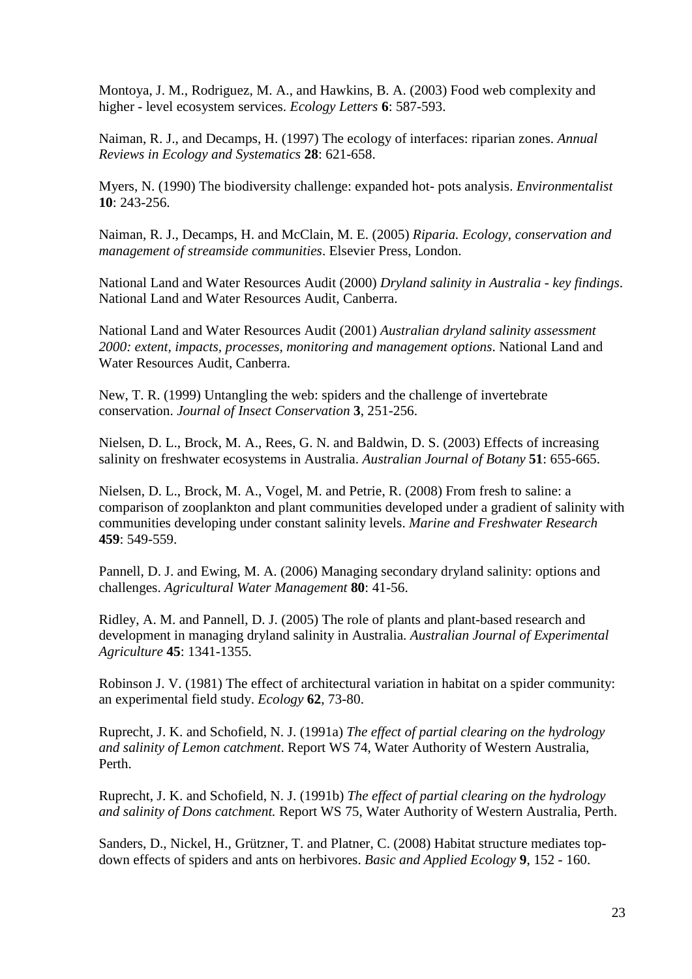Montoya, J. M., Rodriguez, M. A., and Hawkins, B. A. (2003) Food web complexity and higher - level ecosystem services. *Ecology Letters* **6**: 587-593.

Naiman, R. J., and Decamps, H. (1997) The ecology of interfaces: riparian zones. *Annual Reviews in Ecology and Systematics* **28**: 621-658.

Myers, N. (1990) The biodiversity challenge: expanded hot- pots analysis. *Environmentalist* **10**: 243-256.

Naiman, R. J., Decamps, H. and McClain, M. E. (2005) *Riparia. Ecology, conservation and management of streamside communities*. Elsevier Press, London.

National Land and Water Resources Audit (2000) *Dryland salinity in Australia - key findings*. National Land and Water Resources Audit, Canberra.

National Land and Water Resources Audit (2001) *Australian dryland salinity assessment 2000: extent, impacts, processes, monitoring and management options*. National Land and Water Resources Audit, Canberra.

New, T. R. (1999) Untangling the web: spiders and the challenge of invertebrate conservation. *Journal of Insect Conservation* **3**, 251-256.

Nielsen, D. L., Brock, M. A., Rees, G. N. and Baldwin, D. S. (2003) Effects of increasing salinity on freshwater ecosystems in Australia. *Australian Journal of Botany* **51**: 655-665.

Nielsen, D. L., Brock, M. A., Vogel, M. and Petrie, R. (2008) From fresh to saline: a comparison of zooplankton and plant communities developed under a gradient of salinity with communities developing under constant salinity levels. *Marine and Freshwater Research* **459**: 549-559.

Pannell, D. J. and Ewing, M. A. (2006) Managing secondary dryland salinity: options and challenges. *Agricultural Water Management* **80**: 41-56.

Ridley, A. M. and Pannell, D. J. (2005) The role of plants and plant-based research and development in managing dryland salinity in Australia. *Australian Journal of Experimental Agriculture* **45**: 1341-1355.

Robinson J. V. (1981) The effect of architectural variation in habitat on a spider community: an experimental field study. *Ecology* **62**, 73-80.

Ruprecht, J. K. and Schofield, N. J. (1991a) *The effect of partial clearing on the hydrology and salinity of Lemon catchment*. Report WS 74, Water Authority of Western Australia, Perth.

Ruprecht, J. K. and Schofield, N. J. (1991b) *The effect of partial clearing on the hydrology and salinity of Dons catchment.* Report WS 75, Water Authority of Western Australia, Perth.

Sanders, D., Nickel, H., Grützner, T. and Platner, C. (2008) Habitat structure mediates topdown effects of spiders and ants on herbivores. *Basic and Applied Ecology* **9**, 152 - 160.